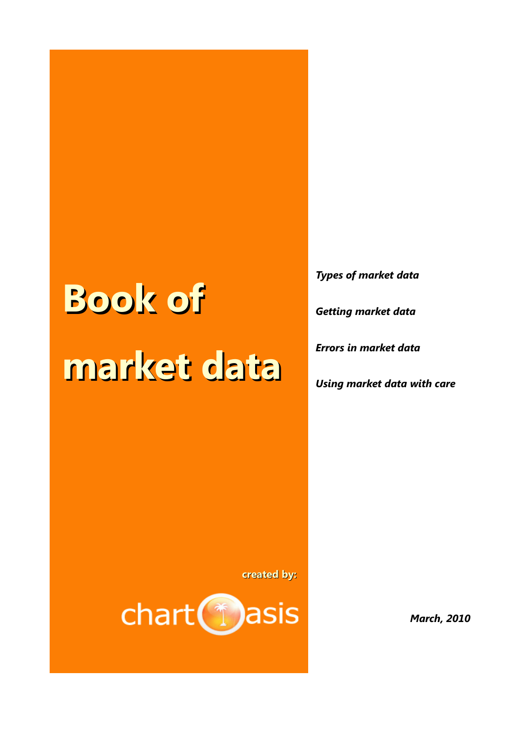# **Book of market data**

*Types of market data Getting market data Errors in market data*

*Using market data with care*

**created by:** 



*March, 2010*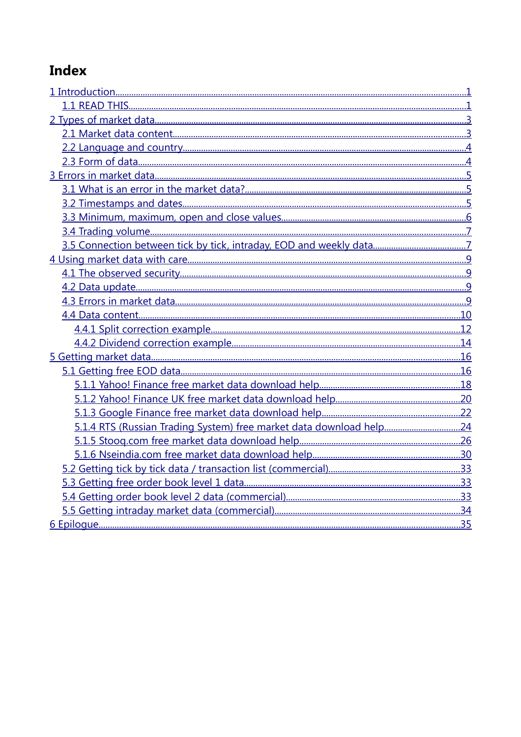# **Index**

| 5.1.4 RTS (Russian Trading System) free market data download help24 |  |
|---------------------------------------------------------------------|--|
|                                                                     |  |
|                                                                     |  |
|                                                                     |  |
|                                                                     |  |
|                                                                     |  |
|                                                                     |  |
|                                                                     |  |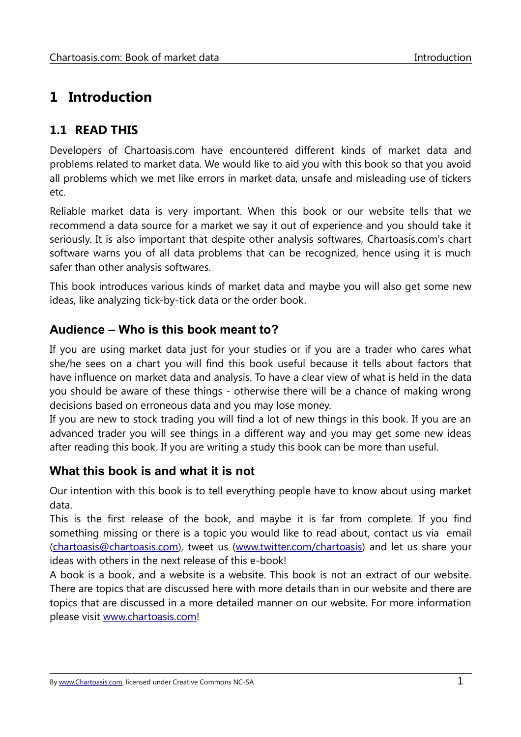# <span id="page-2-1"></span>**1 Introduction**

# <span id="page-2-0"></span>**1.1 READ THIS**

Developers of Chartoasis.com have encountered different kinds of market data and problems related to market data. We would like to aid you with this book so that you avoid all problems which we met like errors in market data, unsafe and misleading use of tickers etc.

Reliable market data is very important. When this book or our website tells that we recommend a data source for a market we say it out of experience and you should take it seriously. It is also important that despite other analysis softwares, Chartoasis.com's chart software warns you of all data problems that can be recognized, hence using it is much safer than other analysis softwares.

This book introduces various kinds of market data and maybe you will also get some new ideas, like analyzing tick-by-tick data or the order book.

#### **Audience – Who is this book meant to?**

If you are using market data just for your studies or if you are a trader who cares what she/he sees on a chart you will find this book useful because it tells about factors that have influence on market data and analysis. To have a clear view of what is held in the data you should be aware of these things - otherwise there will be a chance of making wrong decisions based on erroneous data and you may lose money.

If you are new to stock trading you will find a lot of new things in this book. If you are an advanced trader you will see things in a different way and you may get some new ideas after reading this book. If you are writing a study this book can be more than useful.

#### **What this book is and what it is not**

Our intention with this book is to tell everything people have to know about using market data.

This is the first release of the book, and maybe it is far from complete. If you find something missing or there is a topic you would like to read about, contact us via email [\(chartoasis@chartoasis.com\)](mailto:chartoasis@chartoasis.com), tweet us [\(www.twitter.com/chartoasis\)](http://www.twitter.com/chartoasis) and let us share your ideas with others in the next release of this e-book!

A book is a book, and a website is a website. This book is not an extract of our website. There are topics that are discussed here with more details than in our website and there are topics that are discussed in a more detailed manner on our website. For more information please visit [www.chartoasis.com!](http://www.chartoasis.com/)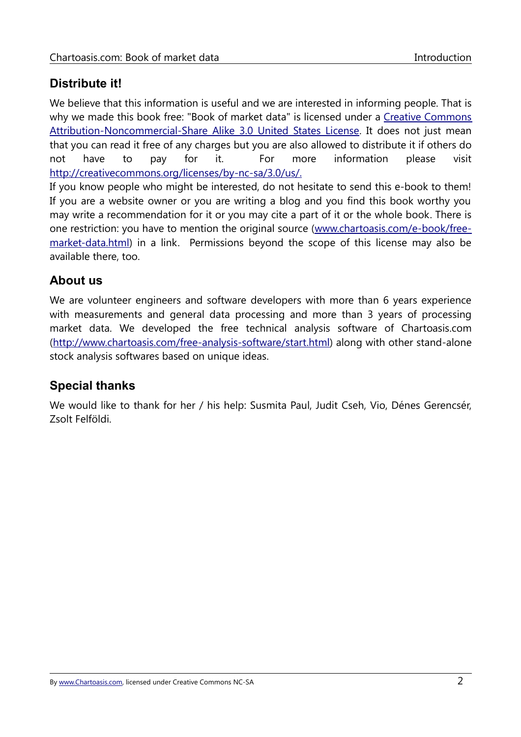# **Distribute it!**

We believe that this information is useful and we are interested in informing people. That is why we made this book free: "Book of market data" is licensed under a [Creative Commons](http://creativecommons.org/licenses/by-nc-sa/3.0/us/) [Attribution-Noncommercial-Share Alike 3.0 United States License.](http://creativecommons.org/licenses/by-nc-sa/3.0/us/) It does not just mean that you can read it free of any charges but you are also allowed to distribute it if others do not have to pay for it. For more information please visit [http://creativecommons.org/licenses/by-nc-sa/3.0/us/.](http://creativecommons.org/licenses/by-nc-sa/3.0/us/)

If you know people who might be interested, do not hesitate to send this e-book to them! If you are a website owner or you are writing a blog and you find this book worthy you may write a recommendation for it or you may cite a part of it or the whole book. There is one restriction: you have to mention the original source [\( www.chartoasis.com/e- book/free](http://www.chartoasis.com/e-book/free-market-data.html)[market-data.html\)](http://www.chartoasis.com/e-book/free-market-data.html) in a link. Permissions beyond the scope of this license may also be available there, too.

#### **About us**

We are volunteer engineers and software developers with more than 6 years experience with measurements and general data processing and more than 3 years of processing market data. We developed the free technical analysis software of Chartoasis.com [\(http://www.chartoasis.com/free-analysis-software/start.html\)](http://www.chartoasis.com/free-analysis-software/start.html) along with other stand-alone stock analysis softwares based on unique ideas.

#### **Special thanks**

We would like to thank for her / his help: Susmita Paul, Judit Cseh, Vio, Dénes Gerencsér, Zsolt Felföldi.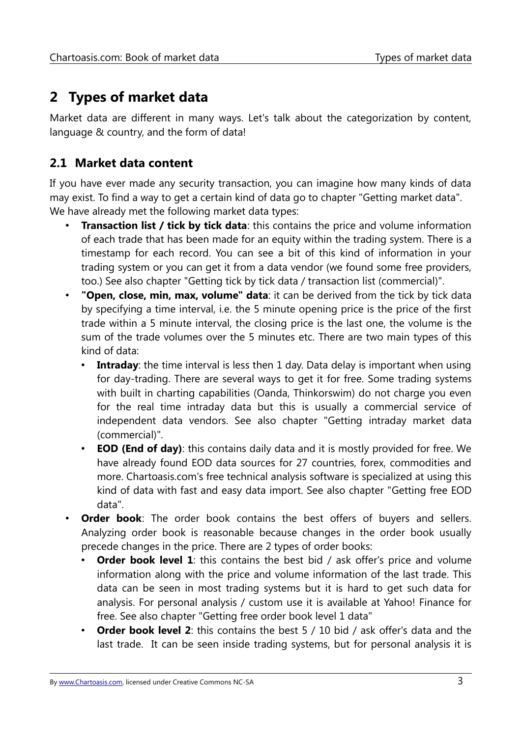# <span id="page-4-1"></span>**2 Types of market data**

Market data are different in many ways. Let's talk about the categorization by content, language & country, and the form of data!

# <span id="page-4-0"></span>**2.1 Market data content**

If you have ever made any security transaction, you can imagine how many kinds of data may exist. To find a way to get a certain kind of data go to chapter ["Getting market data"](#page-17-1). We have already met the following market data types:

- **Transaction list / tick by tick data:** this contains the price and volume information of each trade that has been made for an equity within the trading system. There is a timestamp for each record. You can see a bit of this kind of information in your trading system or you can get it from a data vendor (we found some free providers, too.) See also chapter ["Getting tick by tick data / transaction list \(commercial\)"](#page-34-2).
- **"Open, close, min, max, volume" data**: it can be derived from the tick by tick data by specifying a time interval, i.e. the 5 minute opening price is the price of the first trade within a 5 minute interval, the closing price is the last one, the volume is the sum of the trade volumes over the 5 minutes etc. There are two main types of this kind of data:
	- **Intraday**: the time interval is less then 1 day. Data delay is important when using for day-trading. There are several ways to get it for free. Some trading systems with built in charting capabilities (Oanda, Thinkorswim) do not charge you even for the real time intraday data but this is usually a commercial service of independent data vendors. See also chapter ["Getting intraday market data](#page-35-0) [\(commercial\)"](#page-35-0).
	- **EOD (End of day)**: this contains daily data and it is mostly provided for free. We have already found EOD data sources for 27 countries, forex, commodities and more. Chartoasis.com's free technical analysis software is specialized at using this kind of data with fast and easy data import. See also chapter ["Getting free EOD](#page-17-0) [data"](#page-17-0).
- **Order book**: The order book contains the best offers of buyers and sellers. Analyzing order book is reasonable because changes in the order book usually precede changes in the price. There are 2 types of order books:
	- **Order book level 1:** this contains the best bid / ask offer's price and volume information along with the price and volume information of the last trade. This data can be seen in most trading systems but it is hard to get such data for analysis. For personal analysis / custom use it is available at Yahoo! Finance for free. See also chapter ["Getting free order book level 1 data"](#page-34-1)
	- **Order book level 2**: this contains the best 5 / 10 bid / ask offer's data and the last trade. It can be seen inside trading systems, but for personal analysis it is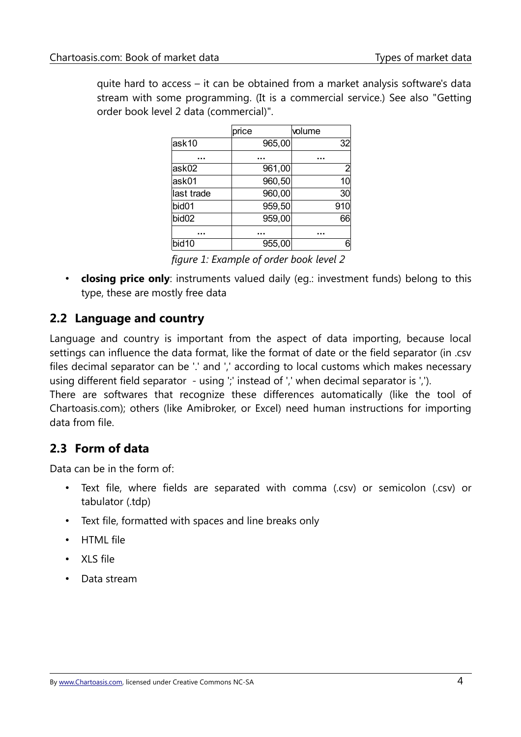quite hard to access – it can be obtained from a market analysis software's data stream with some programming. (It is a commercial service.) See also ["Getting](#page-34-0) [order book level 2 data \(commercial\)"](#page-34-0).

|                   | price  | volume         |
|-------------------|--------|----------------|
| ask10             | 965,00 | 32             |
|                   |        |                |
| ask02             | 961,00 | $\overline{2}$ |
| ask01             | 960,50 | 10             |
| last trade        | 960,00 | 30             |
| bid01             | 959,50 | 910            |
| bid <sub>02</sub> | 959,00 | 66             |
|                   |        |                |
| bid10             | 955,00 | 6              |

*figure 1: Example of order book level 2*

• **closing price only**: instruments valued daily (eg.: investment funds) belong to this type, these are mostly free data

# <span id="page-5-1"></span>**2.2 Language and country**

Language and country is important from the aspect of data importing, because local settings can influence the data format, like the format of date or the field separator (in .csv files decimal separator can be '.' and ',' according to local customs which makes necessary using different field separator - using ';' instead of ',' when decimal separator is ','). There are softwares that recognize these differences automatically (like the tool of Chartoasis.com); others (like Amibroker, or Excel) need human instructions for importing data from file.

# <span id="page-5-0"></span>**2.3 Form of data**

Data can be in the form of:

- Text file, where fields are separated with comma (.csv) or semicolon (.csv) or tabulator (.tdp)
- Text file, formatted with spaces and line breaks only
- HTML file
- XLS file
- Data stream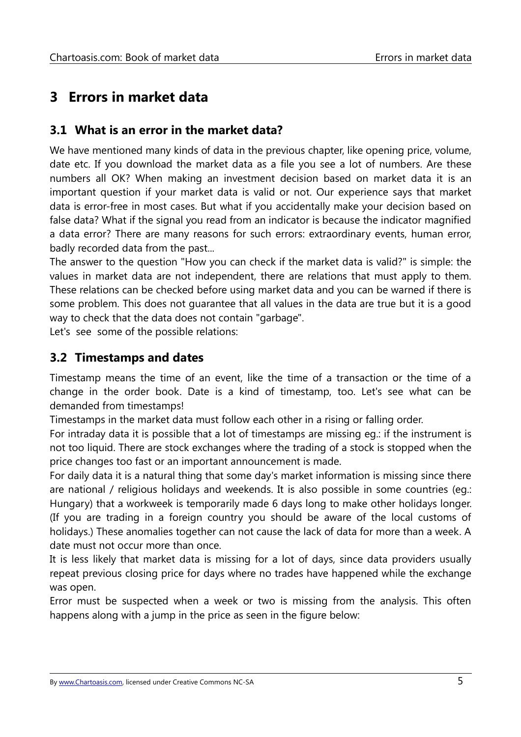# <span id="page-6-2"></span>**3 Errors in market data**

#### <span id="page-6-1"></span>**3.1 What is an error in the market data?**

We have mentioned many kinds of data in the previous chapter, like opening price, volume, date etc. If you download the market data as a file you see a lot of numbers. Are these numbers all OK? When making an investment decision based on market data it is an important question if your market data is valid or not. Our experience says that market data is error-free in most cases. But what if you accidentally make your decision based on false data? What if the signal you read from an indicator is because the indicator magnified a data error? There are many reasons for such errors: extraordinary events, human error, badly recorded data from the past...

The answer to the question "How you can check if the market data is valid?" is simple: the values in market data are not independent, there are relations that must apply to them. These relations can be checked before using market data and you can be warned if there is some problem. This does not guarantee that all values in the data are true but it is a good way to check that the data does not contain "garbage".

Let's see some of the possible relations:

#### <span id="page-6-0"></span>**3.2 Timestamps and dates**

Timestamp means the time of an event, like the time of a transaction or the time of a change in the order book. Date is a kind of timestamp, too. Let's see what can be demanded from timestamps!

Timestamps in the market data must follow each other in a rising or falling order.

For intraday data it is possible that a lot of timestamps are missing eg.: if the instrument is not too liquid. There are stock exchanges where the trading of a stock is stopped when the price changes too fast or an important announcement is made.

For daily data it is a natural thing that some day's market information is missing since there are national / religious holidays and weekends. It is also possible in some countries (eg.: Hungary) that a workweek is temporarily made 6 days long to make other holidays longer. (If you are trading in a foreign country you should be aware of the local customs of holidays.) These anomalies together can not cause the lack of data for more than a week. A date must not occur more than once.

It is less likely that market data is missing for a lot of days, since data providers usually repeat previous closing price for days where no trades have happened while the exchange was open.

Error must be suspected when a week or two is missing from the analysis. This often happens along with a jump in the price as seen in the figure below: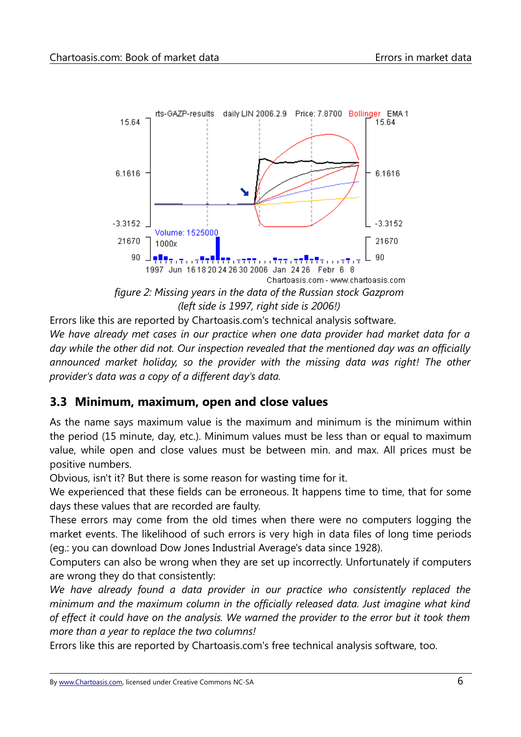

Errors like this are reported by Chartoasis.com's technical analysis software. *We have already met cases in our practice when one data provider had market data for a day while the other did not. Our inspection revealed that the mentioned day was an officially announced market holiday, so the provider with the missing data was right! The other provider's data was a copy of a different day's data.*

### <span id="page-7-0"></span>**3.3 Minimum, maximum, open and close values**

As the name says maximum value is the maximum and minimum is the minimum within the period (15 minute, day, etc.). Minimum values must be less than or equal to maximum value, while open and close values must be between min. and max. All prices must be positive numbers.

Obvious, isn't it? But there is some reason for wasting time for it.

We experienced that these fields can be erroneous. It happens time to time, that for some days these values that are recorded are faulty.

These errors may come from the old times when there were no computers logging the market events. The likelihood of such errors is very high in data files of long time periods (eg.: you can download Dow Jones Industrial Average's data since 1928).

Computers can also be wrong when they are set up incorrectly. Unfortunately if computers are wrong they do that consistently:

*We have already found a data provider in our practice who consistently replaced the minimum and the maximum column in the officially released data. Just imagine what kind of effect it could have on the analysis. We warned the provider to the error but it took them more than a year to replace the two columns!*

Errors like this are reported by Chartoasis.com's free technical analysis software, too.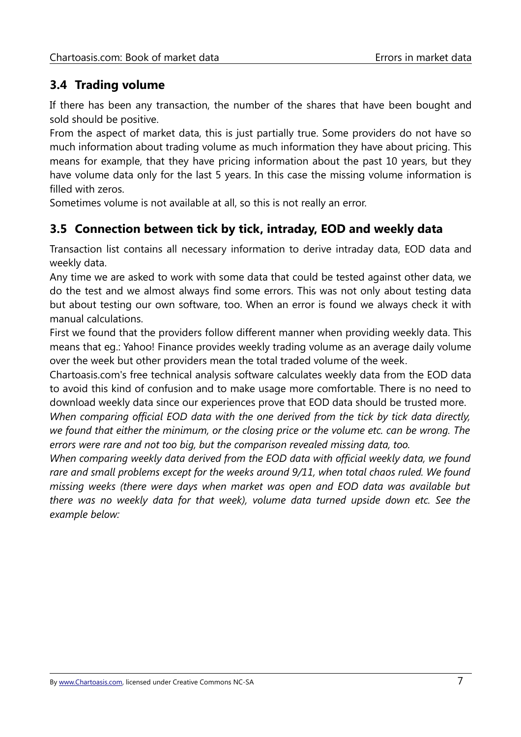# <span id="page-8-1"></span>**3.4 Trading volume**

If there has been any transaction, the number of the shares that have been bought and sold should be positive.

From the aspect of market data, this is just partially true. Some providers do not have so much information about trading volume as much information they have about pricing. This means for example, that they have pricing information about the past 10 years, but they have volume data only for the last 5 years. In this case the missing volume information is filled with zeros.

Sometimes volume is not available at all, so this is not really an error.

# <span id="page-8-0"></span>**3.5 Connection between tick by tick, intraday, EOD and weekly data**

Transaction list contains all necessary information to derive intraday data, EOD data and weekly data.

Any time we are asked to work with some data that could be tested against other data, we do the test and we almost always find some errors. This was not only about testing data but about testing our own software, too. When an error is found we always check it with manual calculations.

First we found that the providers follow different manner when providing weekly data. This means that eg.: Yahoo! Finance provides weekly trading volume as an average daily volume over the week but other providers mean the total traded volume of the week.

Chartoasis.com's free technical analysis software calculates weekly data from the EOD data to avoid this kind of confusion and to make usage more comfortable. There is no need to download weekly data since our experiences prove that EOD data should be trusted more.

*When comparing official EOD data with the one derived from the tick by tick data directly, we found that either the minimum, or the closing price or the volume etc. can be wrong. The errors were rare and not too big, but the comparison revealed missing data, too.*

*When comparing weekly data derived from the EOD data with official weekly data, we found rare and small problems except for the weeks around 9/11, when total chaos ruled. We found missing weeks (there were days when market was open and EOD data was available but there was no weekly data for that week), volume data turned upside down etc. See the example below:*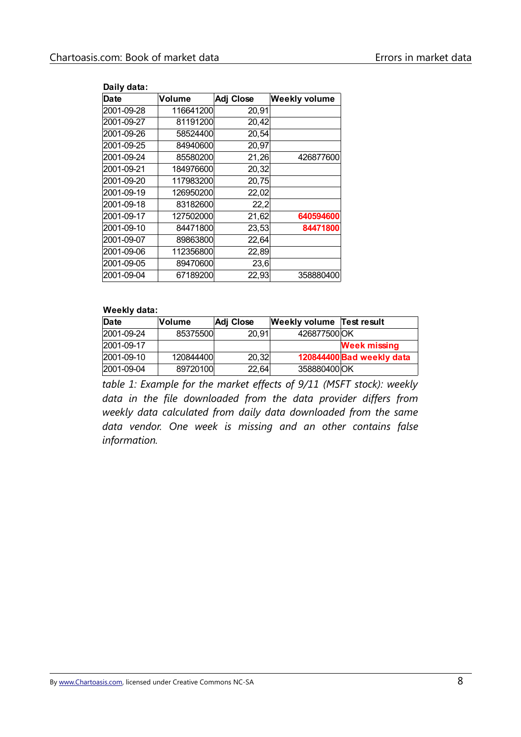| Daily data: |           |           |                      |
|-------------|-----------|-----------|----------------------|
| <b>Date</b> | Volume    | Adj Close | <b>Weekly volume</b> |
| 2001-09-28  | 116641200 | 20,91     |                      |
| 2001-09-27  | 81191200  | 20,42     |                      |
| 2001-09-26  | 58524400  | 20,54     |                      |
| 2001-09-25  | 84940600  | 20,97     |                      |
| 2001-09-24  | 85580200  | 21,26     | 426877600            |
| 2001-09-21  | 184976600 | 20,32     |                      |
| 2001-09-20  | 117983200 | 20,75     |                      |
| 2001-09-19  | 126950200 | 22,02     |                      |
| 2001-09-18  | 83182600  | 22,2      |                      |
| 2001-09-17  | 127502000 | 21,62     | 640594600            |
| 2001-09-10  | 84471800  | 23,53     | 84471800             |
| 2001-09-07  | 89863800  | 22,64     |                      |
| 2001-09-06  | 112356800 | 22,89     |                      |
| 2001-09-05  | 89470600  | 23,6      |                      |
| 2001-09-04  | 67189200  | 22,93     | 358880400            |

#### **Weekly data:**

| Date       | lVolume   | Adj Close | <b>Weekly volume</b> | Test result               |
|------------|-----------|-----------|----------------------|---------------------------|
| 2001-09-24 | 85375500  | 20,91     | 426877500 OK         |                           |
| 2001-09-17 |           |           |                      | <b>Week missing</b>       |
| 2001-09-10 | 120844400 | 20,32     |                      | 120844400 Bad weekly data |
| 2001-09-04 | 89720100  | 22,64     | 358880400 OK         |                           |

*table 1: Example for the market effects of 9/11 (MSFT stock): weekly data in the file downloaded from the data provider differs from weekly data calculated from daily data downloaded from the same data vendor. One week is missing and an other contains false information.*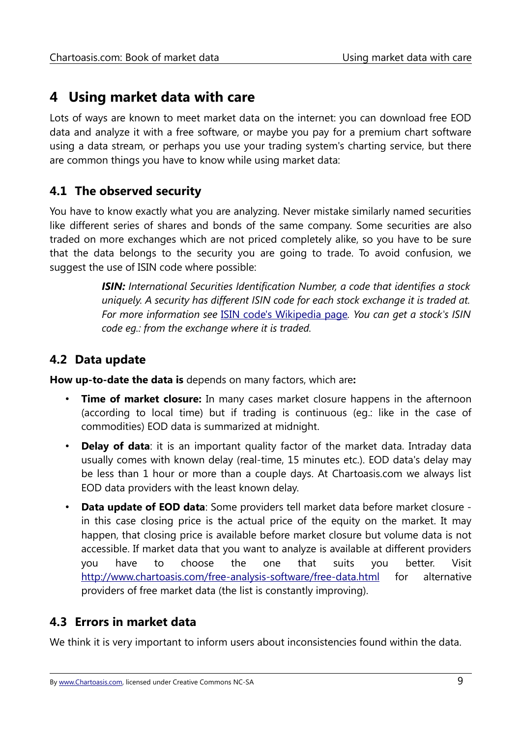# <span id="page-10-3"></span>**4 Using market data with care**

Lots of ways are known to meet market data on the internet: you can download free EOD data and analyze it with a free software, or maybe you pay for a premium chart software using a data stream, or perhaps you use your trading system's charting service, but there are common things you have to know while using market data:

# <span id="page-10-2"></span>**4.1 The observed security**

You have to know exactly what you are analyzing. Never mistake similarly named securities like different series of shares and bonds of the same company. Some securities are also traded on more exchanges which are not priced completely alike, so you have to be sure that the data belongs to the security you are going to trade. To avoid confusion, we suggest the use of ISIN code where possible:

> *ISIN: International Securities Identification Number, a code that identifies a stock uniquely. A security has different ISIN code for each stock exchange it is traded at. For more information see* [ISIN code's Wikipedia page](http://en.wikipedia.org/wiki/International_Securities_Identifying_Number)*. You can get a stock's ISIN code eg.: from the exchange where it is traded.*

### <span id="page-10-1"></span>**4.2 Data update**

**How up-to-date the data is** depends on many factors, which are**:**

- **Time of market closure:** In many cases market closure happens in the afternoon (according to local time) but if trading is continuous (eg.: like in the case of commodities) EOD data is summarized at midnight.
- **Delay of data**: it is an important quality factor of the market data. Intraday data usually comes with known delay (real-time, 15 minutes etc.). EOD data's delay may be less than 1 hour or more than a couple days. At Chartoasis.com we always list EOD data providers with the least known delay.
- **Data update of EOD data**: Some providers tell market data before market closure in this case closing price is the actual price of the equity on the market. It may happen, that closing price is available before market closure but volume data is not accessible. If market data that you want to analyze is available at different providers you have to choose the one that suits you better. Visit <http://www.chartoasis.com/free-analysis-software/free-data.html>for alternative providers of free market data (the list is constantly improving).

### <span id="page-10-0"></span>**4.3 Errors in market data**

We think it is very important to inform users about inconsistencies found within the data.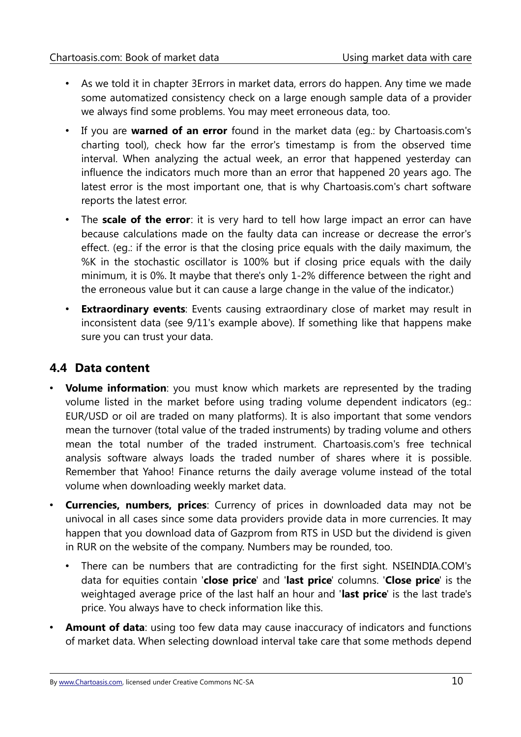- As we told it in chapter [3Errors in market data,](#page-6-2) errors do happen. Any time we made some automatized consistency check on a large enough sample data of a provider we always find some problems. You may meet erroneous data, too.
- If you are **warned of an error** found in the market data (eg.: by Chartoasis.com's charting tool), check how far the error's timestamp is from the observed time interval. When analyzing the actual week, an error that happened yesterday can influence the indicators much more than an error that happened 20 years ago. The latest error is the most important one, that is why Chartoasis.com's chart software reports the latest error.
- The **scale of the error**: it is very hard to tell how large impact an error can have because calculations made on the faulty data can increase or decrease the error's effect. (eg.: if the error is that the closing price equals with the daily maximum, the %K in the stochastic oscillator is 100% but if closing price equals with the daily minimum, it is 0%. It maybe that there's only 1-2% difference between the right and the erroneous value but it can cause a large change in the value of the indicator.)
- **Extraordinary events**: Events causing extraordinary close of market may result in inconsistent data (see 9/11's example above). If something like that happens make sure you can trust your data.

# <span id="page-11-0"></span>**4.4 Data content**

- **Volume information**: you must know which markets are represented by the trading volume listed in the market before using trading volume dependent indicators (eg.: EUR/USD or oil are traded on many platforms). It is also important that some vendors mean the turnover (total value of the traded instruments) by trading volume and others mean the total number of the traded instrument. Chartoasis.com's free technical analysis software always loads the traded number of shares where it is possible. Remember that Yahoo! Finance returns the daily average volume instead of the total volume when downloading weekly market data.
- **Currencies, numbers, prices**: Currency of prices in downloaded data may not be univocal in all cases since some data providers provide data in more currencies. It may happen that you download data of Gazprom from RTS in USD but the dividend is given in RUR on the website of the company. Numbers may be rounded, too.
	- There can be numbers that are contradicting for the first sight. NSEINDIA.COM's data for equities contain '**close price**' and '**last price**' columns. '**Close price**' is the weightaged average price of the last half an hour and '**last price**' is the last trade's price. You always have to check information like this.
- **Amount of data:** using too few data may cause inaccuracy of indicators and functions of market data. When selecting download interval take care that some methods depend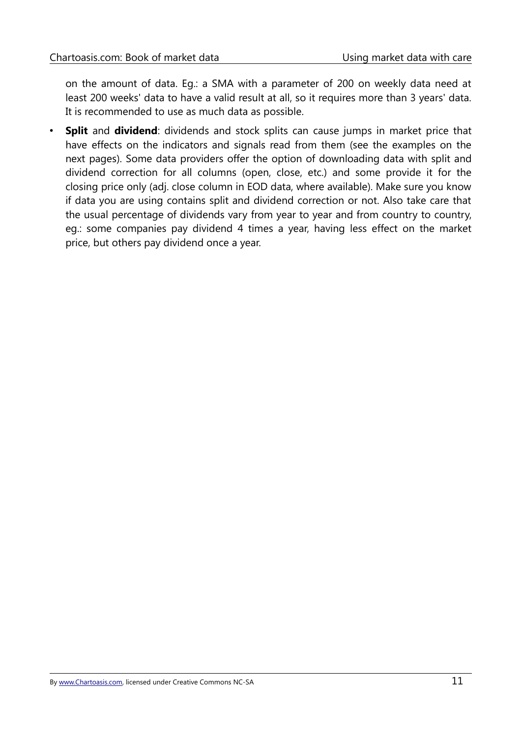on the amount of data. Eg.: a SMA with a parameter of 200 on weekly data need at least 200 weeks' data to have a valid result at all, so it requires more than 3 years' data. It is recommended to use as much data as possible.

• **Split** and **dividend**: dividends and stock splits can cause jumps in market price that have effects on the indicators and signals read from them (see the examples on the next pages). Some data providers offer the option of downloading data with split and dividend correction for all columns (open, close, etc.) and some provide it for the closing price only (adj. close column in EOD data, where available). Make sure you know if data you are using contains split and dividend correction or not. Also take care that the usual percentage of dividends vary from year to year and from country to country, eg.: some companies pay dividend 4 times a year, having less effect on the market price, but others pay dividend once a year.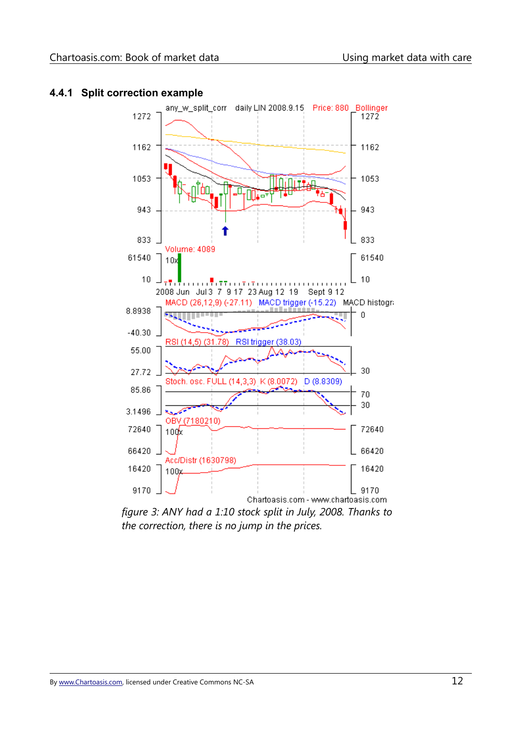

#### <span id="page-13-0"></span>**4.4.1 Split correction example**

*figure 3: ANY had a 1:10 stock split in July, 2008. Thanks to the correction, there is no jump in the prices.*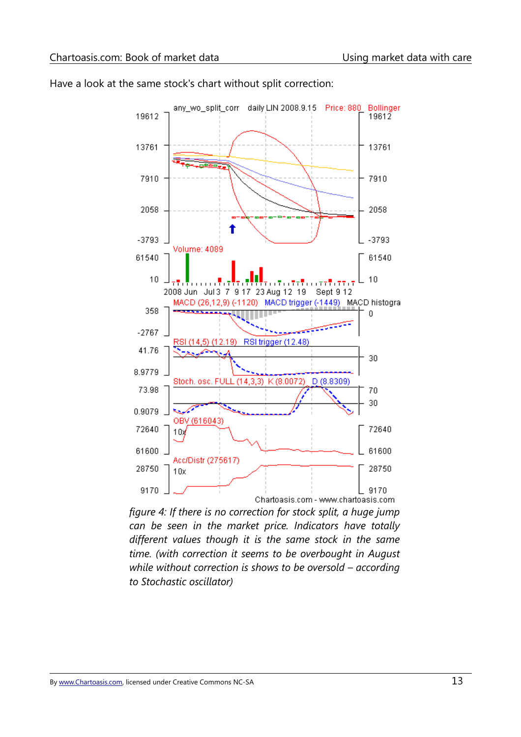

Have a look at the same stock's chart without split correction:

*figure 4: If there is no correction for stock split, a huge jump can be seen in the market price. Indicators have totally different values though it is the same stock in the same time. (with correction it seems to be overbought in August while without correction is shows to be oversold – according to Stochastic oscillator)*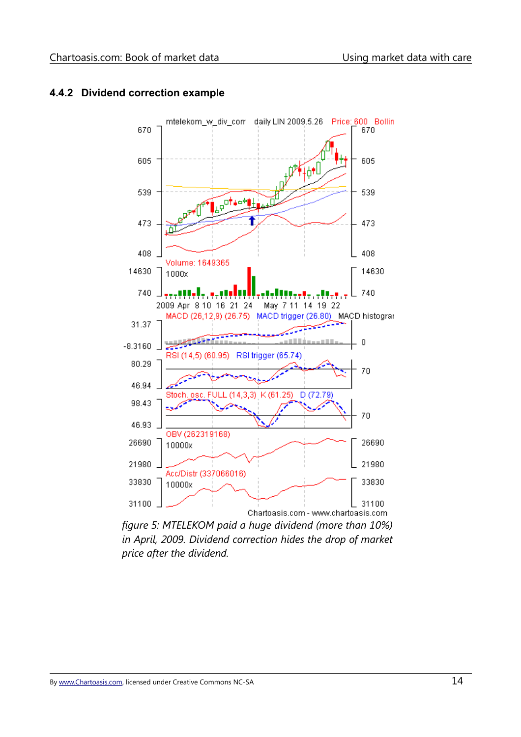

#### <span id="page-15-0"></span>**4.4.2 Dividend correction example**

*figure 5: MTELEKOM paid a huge dividend (more than 10%) in April, 2009. Dividend correction hides the drop of market price after the dividend.*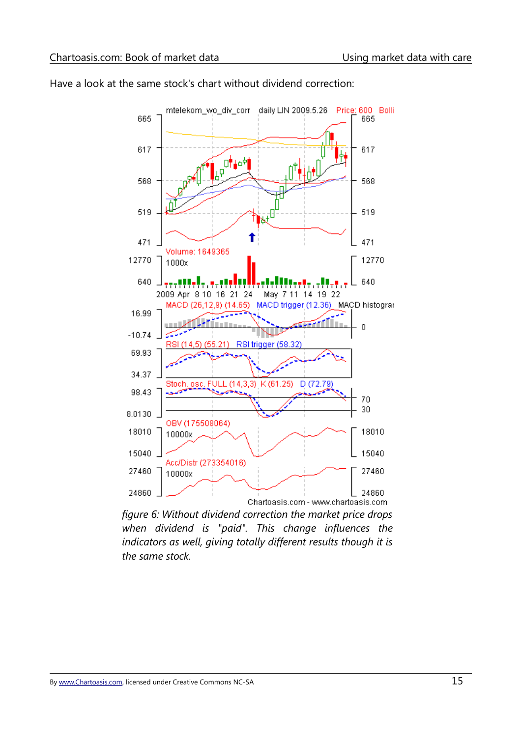

Have a look at the same stock's chart without dividend correction:

*figure 6: Without dividend correction the market price drops when dividend is "paid". This change influences the indicators as well, giving totally different results though it is the same stock.*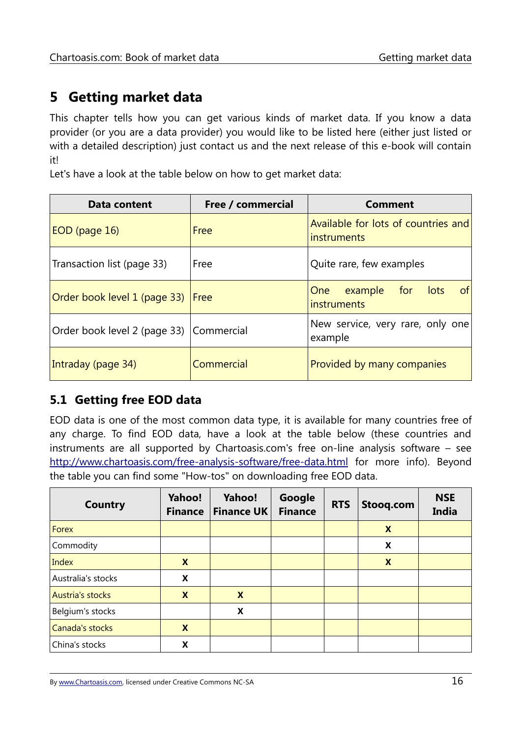# <span id="page-17-1"></span>**5 Getting market data**

This chapter tells how you can get various kinds of market data. If you know a data provider (or you are a data provider) you would like to be listed here (either just listed or with a detailed description) just contact us and the next release of this e-book will contain it!

Let's have a look at the table below on how to get market data:

| Data content                            | Free / commercial | <b>Comment</b>                                                       |
|-----------------------------------------|-------------------|----------------------------------------------------------------------|
| EOD (page 16)                           | Free              | Available for lots of countries and<br><i>instruments</i>            |
| Transaction list (page 33)              | Free              | Quite rare, few examples                                             |
| Order book level 1 (page 33)            | Free              | for<br><sub>of</sub><br>example<br>lots<br><b>One</b><br>instruments |
| Order book level 2 (page 33) Commercial |                   | New service, very rare, only one<br>example                          |
| Intraday (page 34)                      | Commercial        | Provided by many companies                                           |

#### <span id="page-17-0"></span>**5.1 Getting free EOD data**

EOD data is one of the most common data type, it is available for many countries free of any charge. To find EOD data, have a look at the table below (these countries and instruments are all supported by Chartoasis.com's free on-line analysis software – see <http://www.chartoasis.com/free-analysis-software/free-data.html>for more info). Beyond the table you can find some "How-tos" on downloading free EOD data.

| <b>Country</b>          | <b>Yahoo!</b><br><b>Finance</b> | <b>Yahoo!</b><br><b>Finance UK</b> | Google<br><b>Finance</b> | <b>RTS</b> | Stooq.com | <b>NSE</b><br><b>India</b> |
|-------------------------|---------------------------------|------------------------------------|--------------------------|------------|-----------|----------------------------|
| Forex                   |                                 |                                    |                          |            | X         |                            |
| Commodity               |                                 |                                    |                          |            | X         |                            |
| Index                   | X                               |                                    |                          |            | X         |                            |
| Australia's stocks      | X                               |                                    |                          |            |           |                            |
| <b>Austria's stocks</b> | X                               | $\boldsymbol{X}$                   |                          |            |           |                            |
| Belgium's stocks        |                                 | X                                  |                          |            |           |                            |
| Canada's stocks         | X                               |                                    |                          |            |           |                            |
| China's stocks          | X                               |                                    |                          |            |           |                            |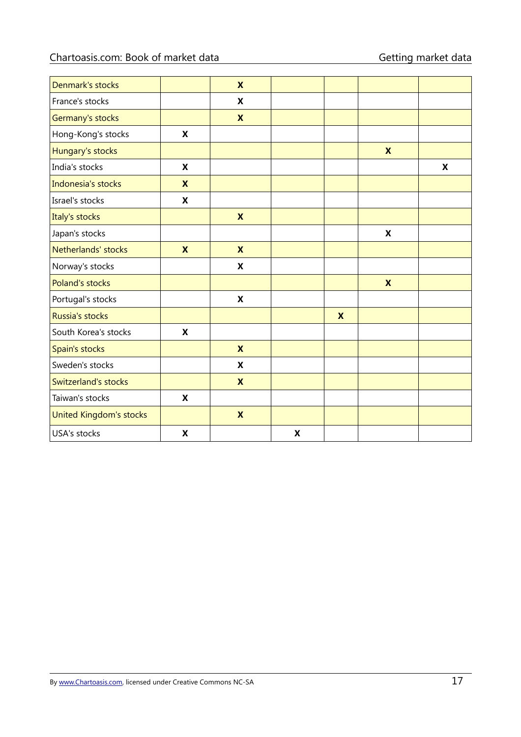| Denmark's stocks        |                           | $\boldsymbol{\mathsf{x}}$ |                    |                           |                           |   |
|-------------------------|---------------------------|---------------------------|--------------------|---------------------------|---------------------------|---|
| France's stocks         |                           | X                         |                    |                           |                           |   |
| Germany's stocks        |                           | $\boldsymbol{\mathsf{X}}$ |                    |                           |                           |   |
| Hong-Kong's stocks      | X                         |                           |                    |                           |                           |   |
| Hungary's stocks        |                           |                           |                    |                           | $\boldsymbol{\mathsf{X}}$ |   |
| India's stocks          | X                         |                           |                    |                           |                           | X |
| Indonesia's stocks      | $\boldsymbol{\mathsf{x}}$ |                           |                    |                           |                           |   |
| Israel's stocks         | X                         |                           |                    |                           |                           |   |
| Italy's stocks          |                           | $\boldsymbol{\mathsf{x}}$ |                    |                           |                           |   |
| Japan's stocks          |                           |                           |                    |                           | $\boldsymbol{\mathsf{X}}$ |   |
| Netherlands' stocks     | $\boldsymbol{\mathsf{x}}$ | $\boldsymbol{\mathsf{X}}$ |                    |                           |                           |   |
| Norway's stocks         |                           | $\boldsymbol{\mathsf{X}}$ |                    |                           |                           |   |
| Poland's stocks         |                           |                           |                    |                           | $\boldsymbol{\mathsf{X}}$ |   |
| Portugal's stocks       |                           | X                         |                    |                           |                           |   |
| Russia's stocks         |                           |                           |                    | $\boldsymbol{\mathsf{X}}$ |                           |   |
| South Korea's stocks    | $\boldsymbol{\mathsf{X}}$ |                           |                    |                           |                           |   |
| Spain's stocks          |                           | $\boldsymbol{\mathsf{x}}$ |                    |                           |                           |   |
| Sweden's stocks         |                           | X                         |                    |                           |                           |   |
| Switzerland's stocks    |                           | $\boldsymbol{\mathsf{X}}$ |                    |                           |                           |   |
| Taiwan's stocks         | $\boldsymbol{\mathsf{X}}$ |                           |                    |                           |                           |   |
| United Kingdom's stocks |                           | $\boldsymbol{\mathsf{X}}$ |                    |                           |                           |   |
| <b>USA's stocks</b>     | X                         |                           | $\pmb{\mathsf{X}}$ |                           |                           |   |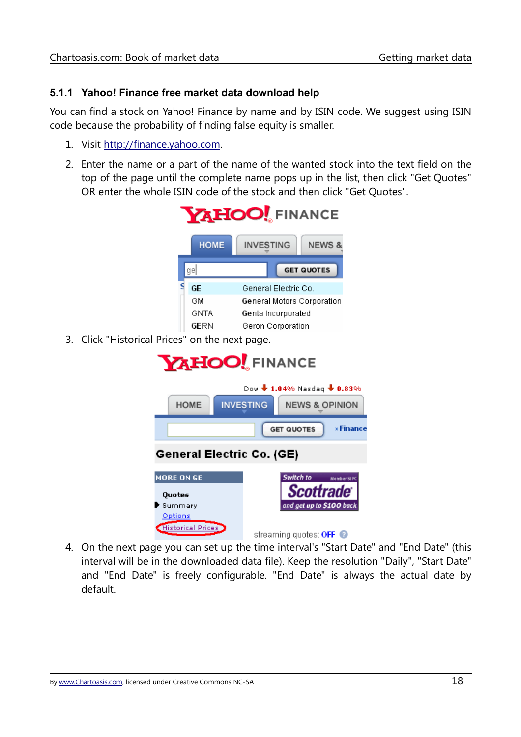#### <span id="page-19-0"></span>**5.1.1 Yahoo! Finance free market data download help**

You can find a stock on Yahoo! Finance by name and by ISIN code. We suggest using ISIN code because the probability of finding false equity is smaller.

- 1. Visit [http://finance.yahoo.com.](http://finance.yahoo.com/)
- 2. Enter the name or a part of the name of the wanted stock into the text field on the top of the page until the complete name pops up in the list, then click "Get Quotes" OR enter the whole ISIN code of the stock and then click "Get Quotes".



3. Click "Historical Prices" on the next page.



4. On the next page you can set up the time interval's "Start Date" and "End Date" (this interval will be in the downloaded data file). Keep the resolution "Daily", "Start Date" and "End Date" is freely configurable. "End Date" is always the actual date by default.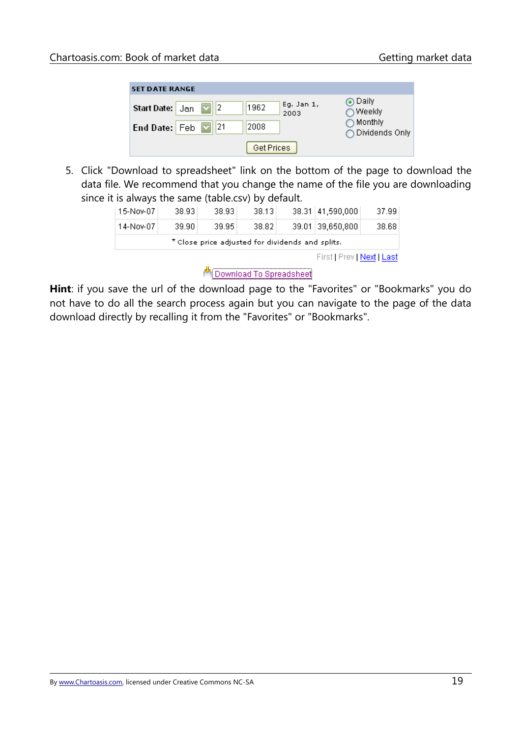| <b>SET DATE RANGE</b>                                          |                                        |
|----------------------------------------------------------------|----------------------------------------|
| Eg. Jan 1,<br>1962<br><b>Start Date:</b> $\frac{1}{2}$<br>2003 | ⊙ Daily<br>○ Weekly                    |
| 1121<br>2008<br>End Date: Feb ⊠                                | $\bigcirc$ Monthly<br>◯ Dividends Only |
| Get Prices                                                     |                                        |

5. Click "Download to spreadsheet" link on the bottom of the page to download the data file. We recommend that you change the name of the file you are downloading since it is always the same (table.csv) by default.

|  | 15-Nov-07 | 38.93 | 38.93 | 38.13 |  | 38.31 41,590,000 | 37.99 |
|--|-----------|-------|-------|-------|--|------------------|-------|

**Hint**: if you save the url of the download page to the "Favorites" or "Bookmarks" you do not have to do all the search process again but you can navigate to the page of the data download directly by recalling it from the "Favorites" or "Bookmarks".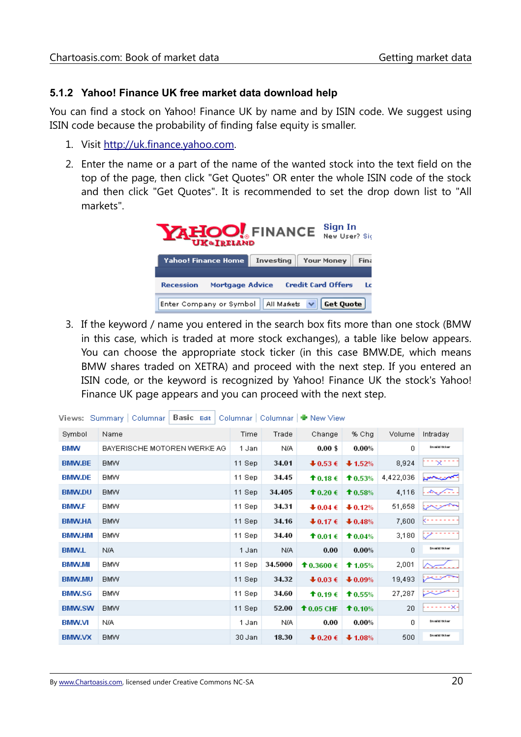#### <span id="page-21-0"></span>**5.1.2 Yahoo! Finance UK free market data download help**

You can find a stock on Yahoo! Finance UK by name and by ISIN code. We suggest using ISIN code because the probability of finding false equity is smaller.

- 1. Visit [http://uk.finance.yahoo.com.](http://uk.finance.yahoo.com/)
- 2. Enter the name or a part of the name of the wanted stock into the text field on the top of the page, then click "Get Quotes" OR enter the whole ISIN code of the stock and then click "Get Quotes". It is recommended to set the drop down list to "All markets".



3. If the keyword / name you entered in the search box fits more than one stock (BMW in this case, which is traded at more stock exchanges), a table like below appears. You can choose the appropriate stock ticker (in this case BMW.DE, which means BMW shares traded on XETRA) and proceed with the next step. If you entered an ISIN code, or the keyword is recognized by Yahoo! Finance UK the stock's Yahoo! Finance UK page appears and you can proceed with the next step.

|               | Basic Edit<br>/iews: Summary   Columnar |        |         | Columnar   Columnar   ₩ New View     |           |           |                          |
|---------------|-----------------------------------------|--------|---------|--------------------------------------|-----------|-----------|--------------------------|
| Symbol        | Name                                    | Time   | Trade   | Change                               | % Chq     | Volume    | Intraday                 |
| <b>BMW</b>    | BAYERISCHE MOTOREN WERKE AG             | 1 Jan  | N/A     | $0.00$ \$                            | $0.00\%$  | 0         | <b>Dravalled Hollown</b> |
| <b>BMW.BE</b> | <b>BMW</b>                              | 11 Sep | 34.01   | $+0.53 \in$                          | $+1.52%$  | 8,924     | ×.                       |
| <b>BMW.DE</b> | <b>BMW</b>                              | 11 Sep | 34.45   | <b>↑</b> 0.18 €                      | 10.53%    | 4,422,036 | شتبه المعرو              |
| <b>BMW.DU</b> | <b>BMW</b>                              | 11 Sep | 34.405  | <b>↑</b> 0.20 €                      | 10.58%    | 4,116     | بالأسكم يتحامد           |
| <b>BMW.F</b>  | <b>BMW</b>                              | 11 Sep | 34.31   | $\clubsuit$ 0.04 $\epsilon$          | $+0.12%$  | 51,658    |                          |
| <b>BMW.HA</b> | <b>BMW</b>                              | 11 Sep | 34.16   | $\clubsuit$ 0.17 $\epsilon$          | $+0.48%$  | 7,600     |                          |
| <b>BMW.HM</b> | <b>BMW</b>                              | 11 Sep | 34.40   | <b>↑</b> 0.01€                       | 10.04%    | 3,180     |                          |
| <b>BMW.L</b>  | N/A                                     | 1 Jan  | N/A     | 0.00                                 | 0.00%     | 0         | <b>Envalid ticker</b>    |
| <b>BMW.MI</b> | <b>BMW</b>                              | 11 Sep | 34.5000 | <b>↑</b> 0.3600 €                    | $$1.05\%$ | 2,001     |                          |
| <b>BMW.MU</b> | <b>BMW</b>                              | 11 Sep | 34.32   | $+0.03 \in$                          | $+0.09%$  | 19,493    |                          |
| <b>BMW.SG</b> | <b>BMW</b>                              | 11 Sep | 34.60   | <b>↑</b> 0.19 €                      | 10.55%    | 27,287    |                          |
| <b>BMW.SW</b> | <b>BMW</b>                              | 11 Sep | 52.00   | $\textcolor{blue}{\bullet}$ 0.05 CHF | 10.10%    | 20        | -- X-                    |
| <b>BMW.VI</b> | N/A.                                    | 1 Jan  | N/A     | 0.00                                 | 0.00%     | 0         | <b>Envalled ticker</b>   |
| <b>BMW.VX</b> | <b>BMW</b>                              | 30 Jan | 18.30   | $\clubsuit$ 0.20 $\epsilon$          | $+1.08%$  | 500       | <b>Envalid ticker</b>    |
|               |                                         |        |         |                                      |           |           |                          |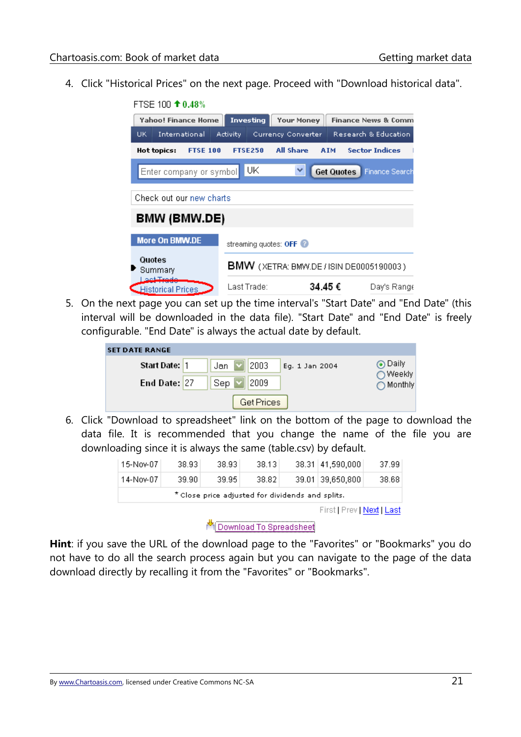4. Click "Historical Prices" on the next page. Proceed with "Download historical data".



5. On the next page you can set up the time interval's "Start Date" and "End Date" (this interval will be downloaded in the data file). "Start Date" and "End Date" is freely configurable. "End Date" is always the actual date by default.

| <b>SET DATE RANGE</b> |                               |                    |
|-----------------------|-------------------------------|--------------------|
| Start Date: 1         | 2003<br>Jan<br>Eg. 1 Jan 2004 | ⊙ Daily<br>○Weekly |
| End Date: 27          | 2009<br>Sep                   | ◯ Monthly          |
|                       | Get Prices                    |                    |

6. Click "Download to spreadsheet" link on the bottom of the page to download the data file. It is recommended that you change the name of the file you are downloading since it is always the same (table.csv) by default.

|           | First   Prev   Next   Last |                                                  |       |  |                  |       |  |  |  |
|-----------|----------------------------|--------------------------------------------------|-------|--|------------------|-------|--|--|--|
|           |                            | * Close price adjusted for dividends and splits. |       |  |                  |       |  |  |  |
| 14-Nov-07 | 39.90                      | 39.95                                            | 38.82 |  | 39.01 39,650,800 | 38.68 |  |  |  |
| 15-Nov-07 | 38.93                      | 38.93                                            | 38.13 |  | 38.31 41,590,000 | 37.99 |  |  |  |

Download To Spreadsheet

**Hint**: if you save the URL of the download page to the "Favorites" or "Bookmarks" you do not have to do all the search process again but you can navigate to the page of the data download directly by recalling it from the "Favorites" or "Bookmarks".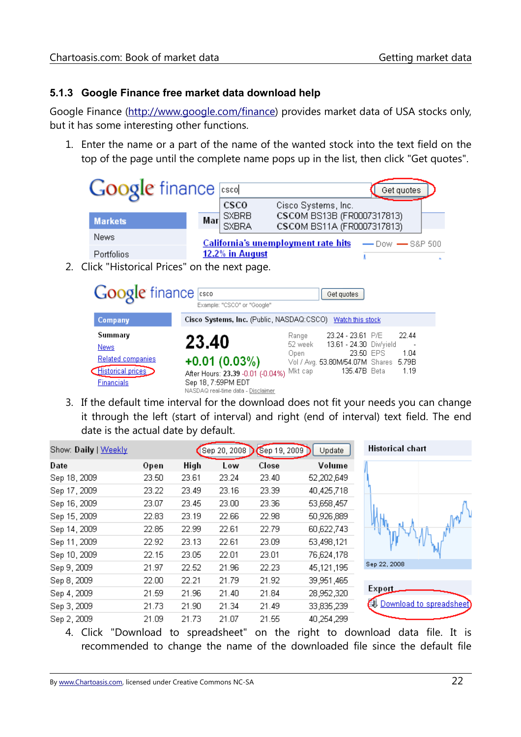#### <span id="page-23-0"></span>**5.1.3 Google Finance free market data download help**

Google Finance [\(http://www.google.com/finance\)](http://www.google.com/finance) provides market data of USA stocks only, but it has some interesting other functions.

1. Enter the name or a part of the name of the wanted stock into the text field on the top of the page until the complete name pops up in the list, then click "Get quotes".

|                   | <b>Google</b> finance said                                       |     |                              |                                                          | Get quotes          |  |
|-------------------|------------------------------------------------------------------|-----|------------------------------|----------------------------------------------------------|---------------------|--|
|                   |                                                                  |     | <b>CSCO</b>                  | Cisco Systems, Inc.                                      |                     |  |
| <b>Markets</b>    |                                                                  | Mar | <b>SXBRB</b><br><b>SXBRA</b> | CSCOM BS13B (FR0007317813)<br>CSCOM BS11A (FR0007317813) |                     |  |
| News              |                                                                  |     |                              | <b>California's unemployment rate hits</b>               | $-$ Dow $-$ S&P 500 |  |
| <b>Portfolios</b> |                                                                  |     | 12.2% in August              |                                                          |                     |  |
|                   | The Little Hotel - 스타이트 Exchange Hotel - Hotel - Hotel - Hotel - |     |                              |                                                          |                     |  |

2. Click "Historical Prices" on the next page.

| <b>Google</b> finance sso                                                              | Example: "CSCO" or "Google"                                                                                              |                                     | Get quotes                                                                                                         |                       |
|----------------------------------------------------------------------------------------|--------------------------------------------------------------------------------------------------------------------------|-------------------------------------|--------------------------------------------------------------------------------------------------------------------|-----------------------|
| Company                                                                                | Cisco Systems, Inc. (Public, NASDAQ:CSCO) Watch this stock                                                               |                                     |                                                                                                                    |                       |
| Summary<br>News:<br><b>Related companies</b><br>Historical prices<br><b>Financials</b> | 23.40<br>$+0.01(0.03%)$<br>After Hours: 23.39 -0.01 (-0.04%)<br>Sep 18, 7:59PM EDT<br>NASDAQ real-time data - Disclaimer | Range<br>52 week<br>Open<br>Mkt cap | 23.24 - 23.61 P/E<br>13.61 - 24.30 Div/yield<br>23.50 EPS<br>Vol / Avg. 53.80M/54.07M Shares 5.79B<br>135.47B Beta | 22.44<br>1.04<br>1.19 |

3. If the default time interval for the download does not fit your needs you can change it through the left (start of interval) and right (end of interval) text field. The end date is the actual date by default.

| Show: Daily   Weekly |       |       | Sep 20, 2008 | Sep 19, 2009 | Update     | <b>Historical chart</b>            |
|----------------------|-------|-------|--------------|--------------|------------|------------------------------------|
| Date                 | Open  | High  | Low          | Close        | Volume     |                                    |
| Sep 18, 2009         | 23.50 | 23.61 | 23.24        | 23.40        | 52,202,649 |                                    |
| Sep 17, 2009         | 23.22 | 23.49 | 23.16        | 23.39        | 40,425,718 |                                    |
| Sep 16, 2009         | 23.07 | 23.45 | 23.00        | 23.36        | 53,658,457 |                                    |
| Sep 15, 2009         | 22.83 | 23.19 | 22.66        | 22.98        | 50,926,889 |                                    |
| Sep 14, 2009         | 22.85 | 22.99 | 22.61        | 22.79        | 60,622,743 |                                    |
| Sep 11, 2009         | 22.92 | 23.13 | 22.61        | 23.09        | 53,498,121 |                                    |
| Sep 10, 2009         | 22.15 | 23.05 | 22.01        | 23.01        | 76,624,178 |                                    |
| Sep 9, 2009          | 21.97 | 22.52 | 21.96        | 22.23        | 45,121,195 | Sep 22, 2008                       |
| Sep 8, 2009          | 22.00 | 22.21 | 21.79        | 21.92        | 39,951,465 |                                    |
| Sep 4, 2009          | 21.59 | 21.96 | 21.40        | 21.84        | 28,952,320 | Export                             |
| Sep 3, 2009          | 21.73 | 21.90 | 21.34        | 21.49        | 33,835,239 | <b>EU</b> Download to spreadsheet) |
| Sep 2, 2009          | 21.09 | 21.73 | 21.07        | 21.55        | 40,254,299 |                                    |

4. Click "Download to spreadsheet" on the right to download data file. It is recommended to change the name of the downloaded file since the default file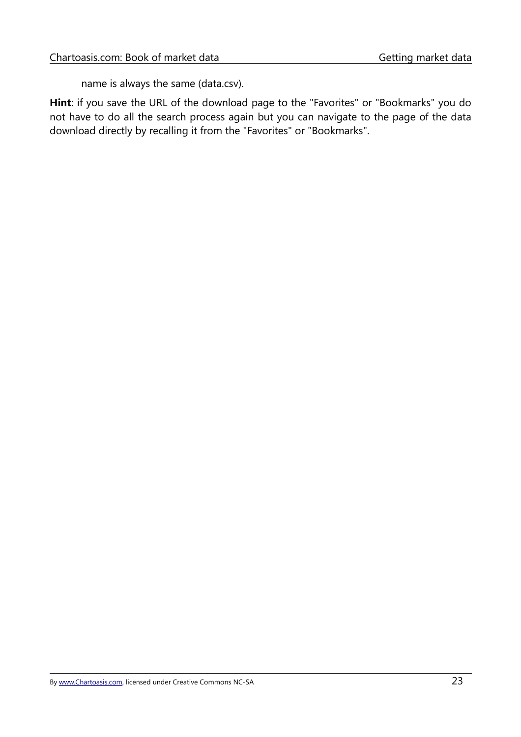name is always the same (data.csv).

**Hint**: if you save the URL of the download page to the "Favorites" or "Bookmarks" you do not have to do all the search process again but you can navigate to the page of the data download directly by recalling it from the "Favorites" or "Bookmarks".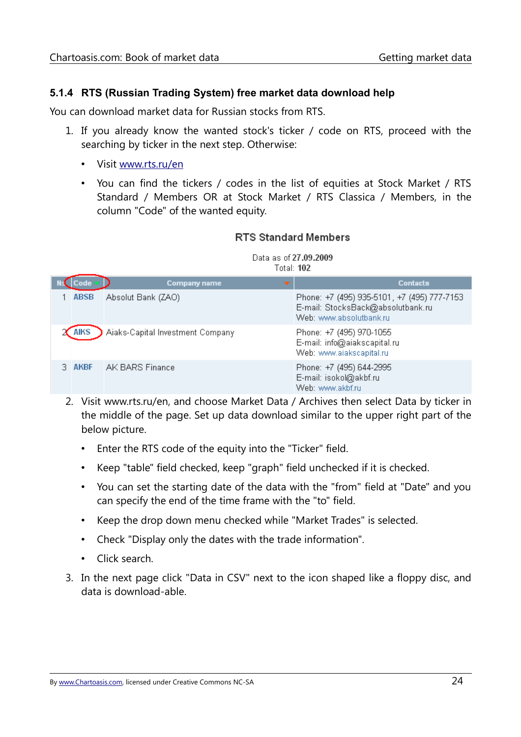#### <span id="page-25-0"></span>**5.1.4 RTS (Russian Trading System) free market data download help**

You can download market data for Russian stocks from RTS.

- 1. If you already know the wanted stock's ticker / code on RTS, proceed with the searching by ticker in the next step. Otherwise:
	- Visit [www.rts.ru/en](http://www.rts.ru/en)
	- You can find the tickers / codes in the list of equities at Stock Market / RTS Standard / Members OR at Stock Market / RTS Classica / Members, in the column "Code" of the wanted equity.

#### **RTS Standard Members**

#### Data as of 27,09,2009 Total: 102

|             | Company name                     | <b>Contacts</b>                                                                                             |
|-------------|----------------------------------|-------------------------------------------------------------------------------------------------------------|
| <b>ABSB</b> | Absolut Bank (ZAO)               | Phone: +7 (495) 935-5101, +7 (495) 777-7153<br>E-mail: StocksBack@absolutbank.ru<br>Web: www.absolutbank.ru |
|             | Aiaks-Capital Investment Company | Phone: +7 (495) 970-1055<br>E-mail: info@aiakscapital.ru<br>Web: www.aiakscapital.ru                        |
| AKBF        | AK BARS Finance                  | Phone: +7 (495) 644-2995<br>E-mail: isokol@akbf.ru<br>Web: www.akbf.ru                                      |

- 2. Visit www.rts.ru/en, and choose Market Data / Archives then select Data by ticker in the middle of the page. Set up data download similar to the upper right part of the below picture.
	- Enter the RTS code of the equity into the "Ticker" field.
	- Keep "table" field checked, keep "graph" field unchecked if it is checked.
	- You can set the starting date of the data with the "from" field at "Date" and you can specify the end of the time frame with the "to" field.
	- Keep the drop down menu checked while "Market Trades" is selected.
	- Check "Display only the dates with the trade information".
	- Click search.
- 3. In the next page click "Data in CSV" next to the icon shaped like a floppy disc, and data is download-able.

By [www.Chartoasis.com,](http://www.Chartoasis.com/) licensed under Creative Commons NC-SA 24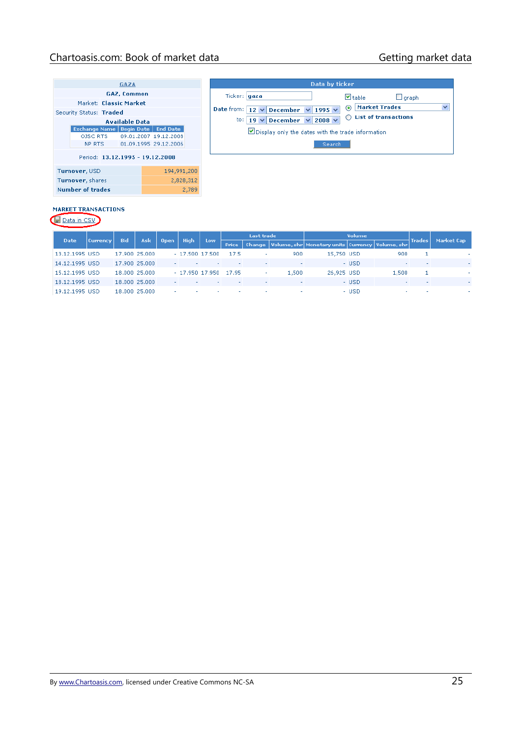### Chartoasis.com: Book of market data Getting market data

| GAZA |                         |  |                       |  |                                              |           |  |  |  |
|------|-------------------------|--|-----------------------|--|----------------------------------------------|-----------|--|--|--|
|      | GAZ, Common             |  |                       |  |                                              |           |  |  |  |
|      | Market: Classic Market  |  |                       |  |                                              |           |  |  |  |
|      | Security Status: Traded |  |                       |  |                                              |           |  |  |  |
|      | <b>Available Data</b>   |  |                       |  |                                              |           |  |  |  |
|      |                         |  |                       |  | <b>Exchange Name   Begin Date   End Date</b> |           |  |  |  |
|      |                         |  |                       |  |                                              |           |  |  |  |
|      | NP RTS <b>NP</b>        |  | 01.09.1995 29.12.2006 |  |                                              |           |  |  |  |
|      |                         |  |                       |  | Period: 13.12.1995 - 19.12.2008              |           |  |  |  |
|      | Turnover, USD           |  | 194,991,200           |  |                                              |           |  |  |  |
|      | Turnover, shares        |  |                       |  |                                              | 2,828,312 |  |  |  |
|      | Number of trades        |  |                       |  |                                              | 2,789     |  |  |  |

| Data by ticker                                      |                                       |  |  |  |  |  |  |  |
|-----------------------------------------------------|---------------------------------------|--|--|--|--|--|--|--|
| Ticker:   gaza                                      | $\triangledown$ table<br>$\Box$ graph |  |  |  |  |  |  |  |
| Date from: $12 \vee$ December $\vee$<br>1995 $\vee$ | A Market Trades                       |  |  |  |  |  |  |  |
| to:   19 $\vee$ December $\vee$ 2008 $\vee$         | $\bigcap$ List of transactions        |  |  |  |  |  |  |  |
| Display only the dates with the trade information   |                                       |  |  |  |  |  |  |  |
| Search                                              |                                       |  |  |  |  |  |  |  |
|                                                     |                                       |  |  |  |  |  |  |  |

#### **MARKET TRANSACTIONS**

Data in CSV

|                |                                       |               |               |  |                  |                  |              | <b>Open</b>              |                          |                                                                | <b>Last trade</b> |                          |         | Volume     |  |  |  |  |
|----------------|---------------------------------------|---------------|---------------|--|------------------|------------------|--------------|--------------------------|--------------------------|----------------------------------------------------------------|-------------------|--------------------------|---------|------------|--|--|--|--|
|                | <b>Bid</b><br>Date<br><b>Currency</b> |               | Ask           |  | <b>High</b>      | Low              | <b>Price</b> |                          |                          | Change   Volume, shr   Monetary units   Currency   Volume, shr |                   |                          | †Trades | Market Cap |  |  |  |  |
| 13.12.1995 USD |                                       |               | 17,900 25,000 |  | $-17,500$ 17,500 |                  | 17.5         | ۰                        | 900                      | 15,750 USD                                                     |                   | 900                      |         |            |  |  |  |  |
| 14.12.1995 USD |                                       |               | 17,900 25,000 |  |                  |                  | $\sim$       | $\overline{\phantom{a}}$ | $\overline{\phantom{a}}$ |                                                                | - USD             | $\overline{\phantom{a}}$ |         |            |  |  |  |  |
| 15.12.1995 USD |                                       |               | 18,000 25,000 |  |                  | $-17.950$ 17.950 | 17.95        |                          | 1,500                    | 26,925 USD                                                     |                   | 1,500                    |         |            |  |  |  |  |
| 18.12.1995 USD |                                       | 18,000 25,000 |               |  |                  |                  | $\sim$       | ۰                        | $\overline{\phantom{a}}$ |                                                                | - USD             | -                        |         |            |  |  |  |  |
| 19.12.1995 USD |                                       |               | 18,000 25,000 |  |                  |                  |              | $\overline{\phantom{a}}$ |                          |                                                                | - USD             |                          |         |            |  |  |  |  |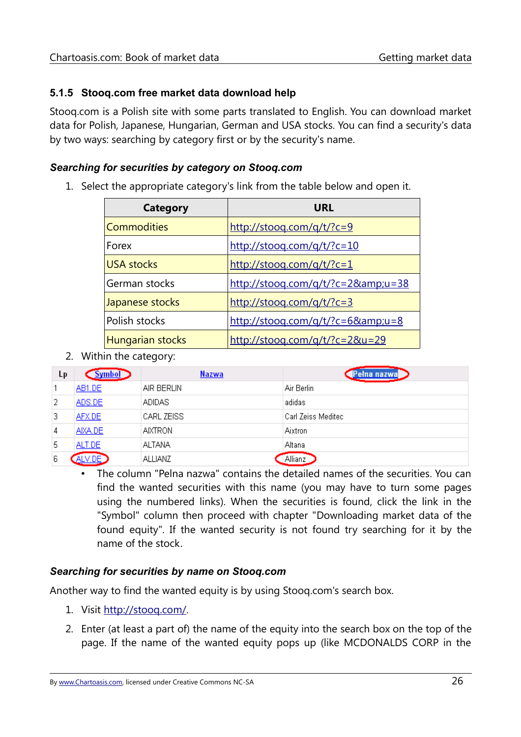#### <span id="page-27-0"></span>**5.1.5 Stooq.com free market data download help**

Stooq.com is a Polish site with some parts translated to English. You can download market data for Polish, Japanese, Hungarian, German and USA stocks. You can find a security's data by two ways: searching by category first or by the security's name.

#### *Searching for securities by category on Stooq.com*

1. Select the appropriate category's link from the table below and open it.

| Category           | URL                                                                     |
|--------------------|-------------------------------------------------------------------------|
| <b>Commodities</b> | $\frac{http://stooq.com/q/t?c=9}{http://stooq.com/q/t?c=9}$             |
| Forex              | $\frac{http://stooq.com/q/t?c=10}{$                                     |
| <b>USA stocks</b>  | $\frac{http://stooq.com/q/t?c=1}{$                                      |
| German stocks      | http://stooq.com/q/t/?c=2&u=38                                          |
| Japanese stocks    | $\frac{http://stooq.com/q/t?c=3}{$                                      |
| Polish stocks      | $\frac{http://stooq.com/q/t?c=6&u=8}{http://stooq.com/q/t?c=6&u=8}$     |
| Hungarian stocks   | $\frac{http://stooq.com/q/t/?c=2&u=29}{http://stooq.com/q/t/?c=2&u=29}$ |

2. Within the category:

| Lр | <u>Symbol</u> | <b>Nazwa</b>   | 'na nazwal         |
|----|---------------|----------------|--------------------|
|    | <b>AB1.DE</b> | AIR BERLIN     | Air Berlin         |
| 2  | ADS.DE        | <b>ADIDAS</b>  | adidas             |
| 3. | AFX.DE        | CARL ZEISS     | Carl Zeiss Meditec |
| 4  | AIXA.DE       | <b>AIXTRON</b> | Aixtron            |
| 5  | ALT.DE        | <b>ALTANA</b>  | Altana             |
| 6  | _V.DE`        | <b>ALLIANZ</b> | Allianz            |

• The column "Pelna nazwa" contains the detailed names of the securities. You can find the wanted securities with this name (you may have to turn some pages using the numbered links). When the securities is found, click the link in the "Symbol" column then proceed with chapter ["Downloading market data of the](#page-28-0) [found equity"](#page-28-0). If the wanted security is not found try searching for it by the name of the stock.

#### *Searching for securities by name on Stooq.com*

Another way to find the wanted equity is by using Stooq.com's search box.

- 1. Visit http://stoog.com/.
- 2. Enter (at least a part of) the name of the equity into the search box on the top of the page. If the name of the wanted equity pops up (like MCDONALDS CORP in the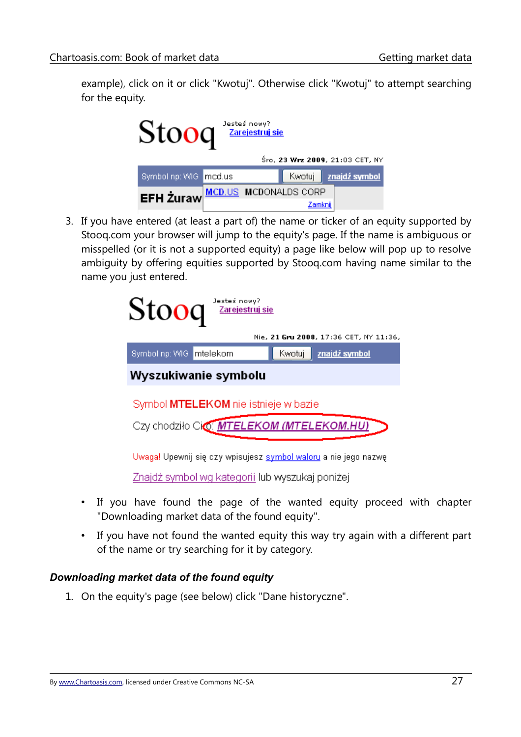example), click on it or click "Kwotuj". Otherwise click "Kwotuj" to attempt searching for the equity.

| Jesteś nowy?<br>Zarejestruj się<br><b>Stoo</b> |                              |  |         |  |                                 |  |  |  |  |  |
|------------------------------------------------|------------------------------|--|---------|--|---------------------------------|--|--|--|--|--|
|                                                |                              |  |         |  | Śro, 23 Wrz 2009, 21:03 CET, NY |  |  |  |  |  |
| Symbol np: WIG mcd.us                          |                              |  | Kwotuj  |  | znajdź symbol                   |  |  |  |  |  |
| <b>EFH Żuraw</b>                               | <b>MCD.US MCDONALDS CORP</b> |  |         |  |                                 |  |  |  |  |  |
|                                                |                              |  | Zamknii |  |                                 |  |  |  |  |  |

3. If you have entered (at least a part of) the name or ticker of an equity supported by Stooq.com your browser will jump to the equity's page. If the name is ambiguous or misspelled (or it is not a supported equity) a page like below will pop up to resolve ambiguity by offering equities supported by Stooq.com having name similar to the name you just entered.

| Jesteś nowy?<br>Stoog<br>Zarejestruj się                               |                                        |  |  |  |  |  |  |
|------------------------------------------------------------------------|----------------------------------------|--|--|--|--|--|--|
|                                                                        | Nie, 21 Gru 2008, 17:36 CET, NY 11:36, |  |  |  |  |  |  |
| Imtelekom<br>Symbol np: WIG<br>Kwotuj                                  | znajdź symbol                          |  |  |  |  |  |  |
| Wyszukiwanie symbolu                                                   |                                        |  |  |  |  |  |  |
| Symbol MTELEKOM nie istnieje w bazie                                   |                                        |  |  |  |  |  |  |
| Czy chodziło Cio MTELEKOM (MTELEKOM.HU)                                |                                        |  |  |  |  |  |  |
|                                                                        |                                        |  |  |  |  |  |  |
| Uwaga! Upewnij się czy wpisujesz <u>symbol waloru</u> a nie jego nazwę |                                        |  |  |  |  |  |  |
| Znajdź symbol wg kategorii lub wyszukaj poniżej                        |                                        |  |  |  |  |  |  |

- If you have found the page of the wanted equity proceed with chapter ["Downloading market data of the found equity"](#page-28-0).
- If you have not found the wanted equity this way try again with a different part of the name or try searching for it by category.

#### <span id="page-28-0"></span>*Downloading market data of the found equity*

1. On the equity's page (see below) click "Dane historyczne".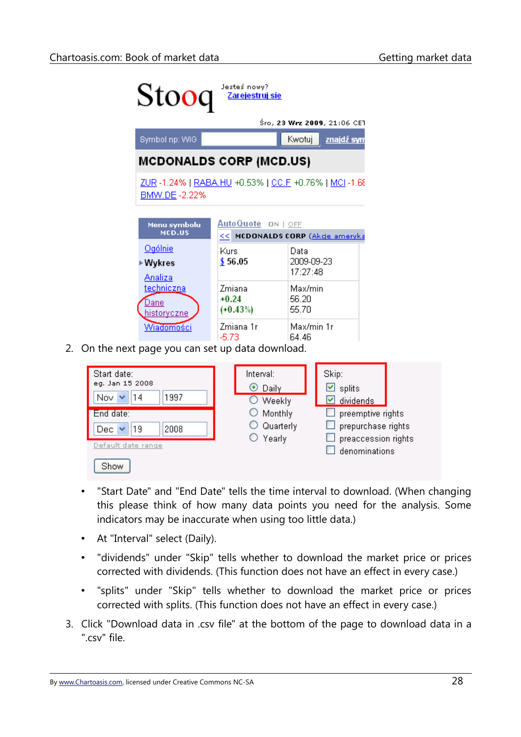

2. On the next page you can set up data download.



- "Start Date" and "End Date" tells the time interval to download. (When changing this please think of how many data points you need for the analysis. Some indicators may be inaccurate when using too little data.)
- At "Interval" select (Daily).
- "dividends" under "Skip" tells whether to download the market price or prices corrected with dividends. (This function does not have an effect in every case.)
- "splits" under "Skip" tells whether to download the market price or prices corrected with splits. (This function does not have an effect in every case.)
- 3. Click "Download data in .csv file" at the bottom of the page to download data in a ".csv" file.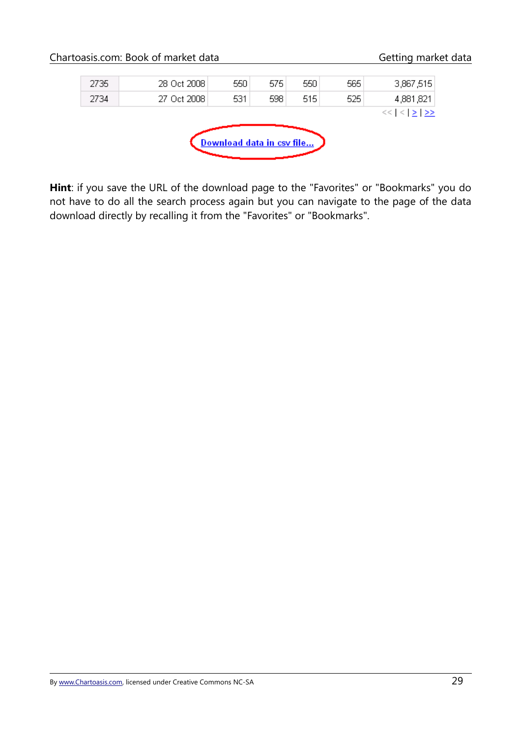|      | Chartoasis.com: Book of market data |                           |     |     |     | Getting market data       |  |
|------|-------------------------------------|---------------------------|-----|-----|-----|---------------------------|--|
| 2735 | 28 Oct 2008                         | 550                       | 575 | 550 | 565 | 3,867,515                 |  |
| 2734 | 27 Oct 2008                         | 531                       | 598 | 515 | 525 | 4,881,821                 |  |
|      |                                     |                           |     |     |     | $<<$ $ <$ $  \ge$ $  \ge$ |  |
|      |                                     | Download data in csv file |     |     |     |                           |  |

**Hint**: if you save the URL of the download page to the "Favorites" or "Bookmarks" you do not have to do all the search process again but you can navigate to the page of the data download directly by recalling it from the "Favorites" or "Bookmarks".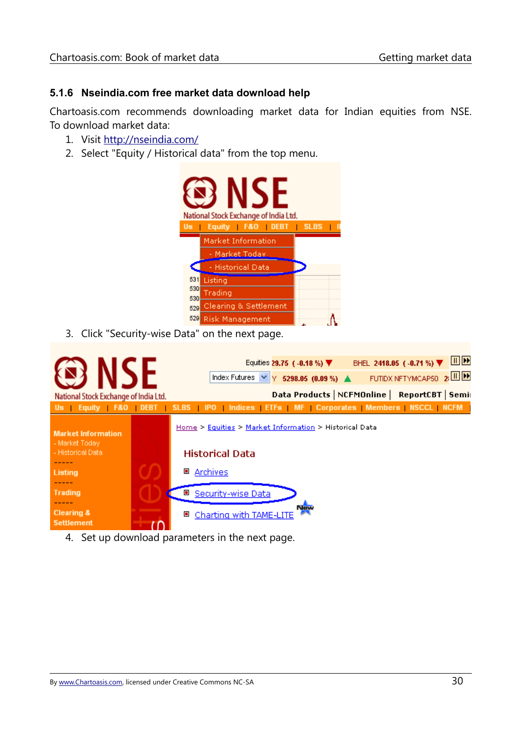#### <span id="page-31-0"></span>**5.1.6 Nseindia.com free market data download help**

Chartoasis.com recommends downloading market data for Indian equities from NSE. To download market data:

- 1. Visit<http://nseindia.com/>
- 2. Select "Equity / Historical data" from the top menu.



3. Click "Security-wise Data" on the next page.



4. Set up download parameters in the next page.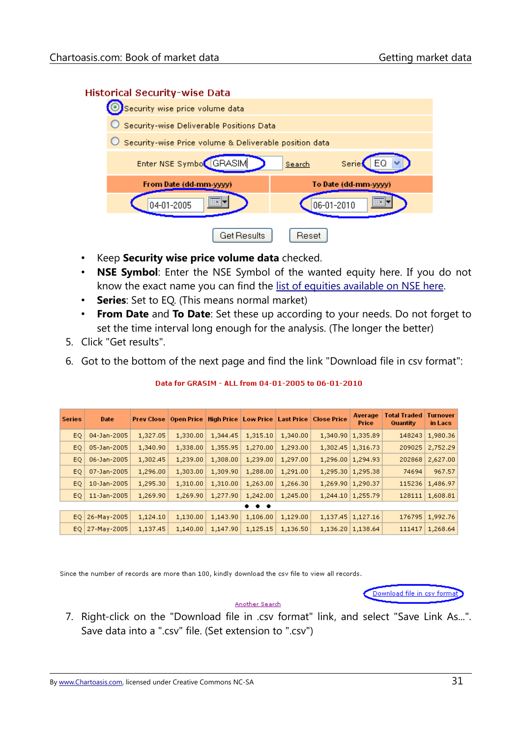#### **Historical Security-wise Data**



- Keep **Security wise price volume data** checked.
- **NSE Symbol**: Enter the NSE Symbol of the wanted equity here. If you do not know the exact name you can find the [list of equities available on NSE here.](http://nseindia.com/content/equities/eq_secavailable.htm)
- **Series**: Set to EQ. (This means normal market)
- **From Date** and **To Date**: Set these up according to your needs. Do not forget to set the time interval long enough for the analysis. (The longer the better)
- 5. Click "Get results".
- 6. Got to the bottom of the next page and find the link "Download file in csv format":

| <b>Series</b> | Date               | <b>Prev Close</b> | <b>Open Price</b> |          |          |          | High Price   Low Price   Last Price   Close Price | Average<br>Price    | <b>Total Traded</b><br>Quantity | <b>Turnover</b><br>in Lacs |
|---------------|--------------------|-------------------|-------------------|----------|----------|----------|---------------------------------------------------|---------------------|---------------------------------|----------------------------|
| EO.           | 04-Jan-2005        | 1,327.05          | 1,330,00          | 1,344.45 | 1,315.10 | 1,340.00 | 1,340.90                                          | 1,335.89            | 148243                          | 1,980.36                   |
| EQ.           | 05-Jan-2005        | 1,340.90          | 1,338.00          | 1,355.95 | 1,270.00 | 1,293.00 | 1,302.45                                          | 1,316.73            | 209025                          | 2,752.29                   |
| EQ.           | 06-Jan-2005        | 1,302.45          | 1,239.00          | 1,308.00 | 1,239.00 | 1,297.00 |                                                   | 1,296.00   1,294.93 | 202868                          | 2,627.00                   |
| EQ.           | 07-Jan-2005        | 1,296.00          | 1,303.00          | 1,309.90 | 1,288.00 | 1,291.00 | 1,295.30                                          | 1,295.38            | 74694                           | 967.57                     |
| EQ.           | 10-Jan-2005        | 1,295.30          | 1,310.00          | 1,310.00 | 1,263.00 | 1,266.30 | 1,269.90                                          | 1,290.37            | 115236                          | 1,486.97                   |
| EQ.           | 11-Jan-2005        | 1,269.90          | 1,269.90          | 1,277.90 | 1,242.00 | 1,245.00 | 1,244.10                                          | 1,255.79            | 128111                          | 1,608.81                   |
| $\cdots$      |                    |                   |                   |          |          |          |                                                   |                     |                                 |                            |
|               | $EQ$   26-May-2005 | 1,124.10          | 1,130.00          | 1,143.90 | 1,106.00 | 1,129.00 |                                                   | 1,137.45   1,127.16 | 176795                          | 1,992.76                   |
| EO.           | 27-May-2005        | 1,137.45          | 1,140,00          | 1,147.90 | 1,125.15 | 1,136.50 | 1,136.20                                          | 1,138.64            | 111417                          | 1,268.64                   |

#### Data for GRASIM - ALL from 04-01-2005 to 06-01-2010

Since the number of records are more than 100, kindly download the csv file to view all records.



#### Another Search

7. Right-click on the "Download file in .csv format" link, and select "Save Link As...". Save data into a ".csv" file. (Set extension to ".csv")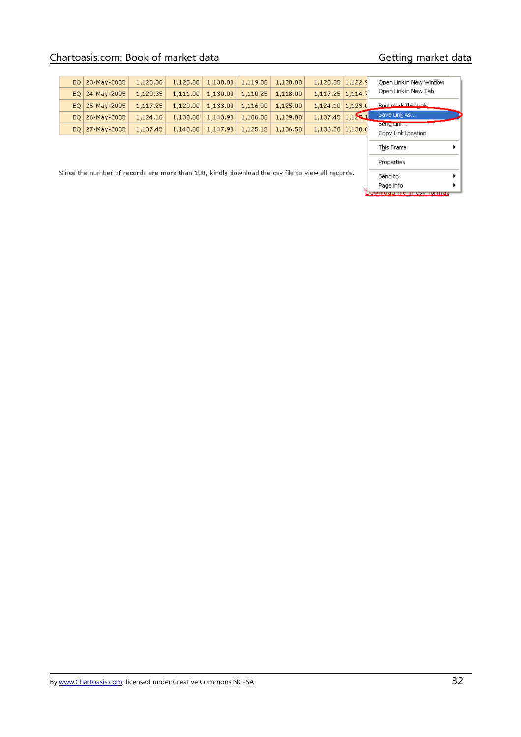# Chartoasis.com: Book of market data Getting market data

|                                                                                                  | EQ 23-May-2005<br>$EQ$   24-May-2005 | 1,123.80<br>1,120.35 | 1,125.00<br>1,111.00 | 1,130.00<br>1,130.00 | 1,119.00<br>1,110.25 | 1,120.80<br>1,118.00 | 1,120.35 1,122.9<br>$1,117.25$   $1,114.7$ |  | Open Link in New Window<br>Open Link in New Tab |  |
|--------------------------------------------------------------------------------------------------|--------------------------------------|----------------------|----------------------|----------------------|----------------------|----------------------|--------------------------------------------|--|-------------------------------------------------|--|
|                                                                                                  | $EQ$   25-May-2005                   | 1,117.25             | 1,120.00             | 1,133.00             | 1,116.00             | 1,125.00             | $1,124,10$   $1,123,0$                     |  | Bookmark This Link                              |  |
| EQ                                                                                               | 26-May-2005                          | 1,124.10             | 1,130.00             | 1,143.90             | 1,106.00             | 1,129.00             | $1,137.45$ 1,12                            |  | Save Link As                                    |  |
|                                                                                                  | $EQ$   27-May-2005                   | 1,137.45             | 1,140.00             | 1,147.90             | 1,125.15             | 1,136.50             | $1,136.20 \mid 1,138.6$                    |  | Sengrunk<br>Copy Link Location                  |  |
|                                                                                                  |                                      |                      |                      |                      |                      |                      |                                            |  | This Frame                                      |  |
|                                                                                                  |                                      | Properties           |                      |                      |                      |                      |                                            |  |                                                 |  |
| Since the number of records are more than 100, kindly download the csy file to view all records. |                                      |                      |                      |                      |                      |                      |                                            |  | Send to                                         |  |
|                                                                                                  |                                      |                      |                      |                      |                      |                      |                                            |  | Page info<br>wmoau me i                         |  |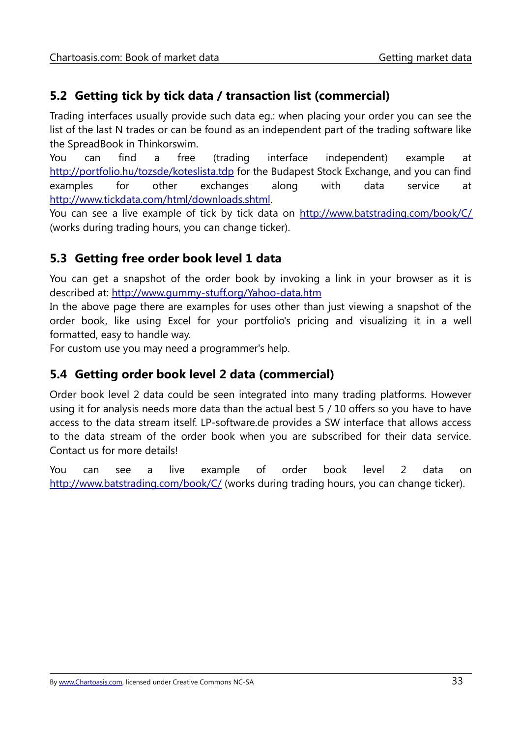# <span id="page-34-2"></span>**5.2 Getting tick by tick data / transaction list (commercial)**

Trading interfaces usually provide such data eg.: when placing your order you can see the list of the last N trades or can be found as an independent part of the trading software like the SpreadBook in Thinkorswim.

You can find a free (trading interface independent) example at <http://portfolio.hu/tozsde/koteslista.tdp>for the Budapest Stock Exchange, and you can find examples for other exchanges along with data service at [http://www.tickdata.com/html/downloads.shtml.](http://www.tickdata.com/html/downloads.shtml)

You can see a live example of tick by tick data on<http://www.batstrading.com/book/C/> (works during trading hours, you can change ticker).

### <span id="page-34-1"></span>**5.3 Getting free order book level 1 data**

You can get a snapshot of the order book by invoking a link in your browser as it is described at:<http://www.gummy-stuff.org/Yahoo-data.htm>

In the above page there are examples for uses other than just viewing a snapshot of the order book, like using Excel for your portfolio's pricing and visualizing it in a well formatted, easy to handle way.

For custom use you may need a programmer's help.

#### <span id="page-34-0"></span>**5.4 Getting order book level 2 data (commercial)**

Order book level 2 data could be seen integrated into many trading platforms. However using it for analysis needs more data than the actual best 5 / 10 offers so you have to have access to the data stream itself. LP-software.de provides a SW interface that allows access to the data stream of the order book when you are subscribed for their data service. Contact us for more details!

You can see a live example of order book level 2 data on <http://www.batstrading.com/book/C/> (works during trading hours, you can change ticker).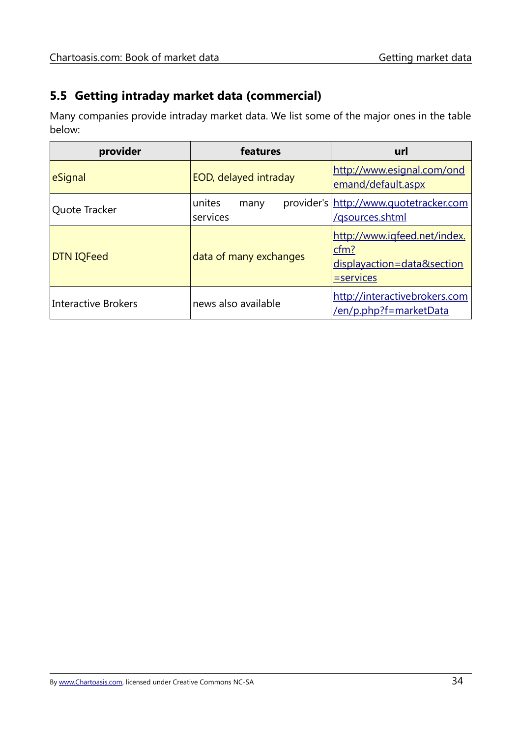# <span id="page-35-0"></span>**5.5 Getting intraday market data (commercial)**

Many companies provide intraday market data. We list some of the major ones in the table below:

| provider                   | features                   | url                                                                                |  |  |
|----------------------------|----------------------------|------------------------------------------------------------------------------------|--|--|
| eSignal                    | EOD, delayed intraday      | http://www.esignal.com/ond<br>emand/default.aspx                                   |  |  |
| Quote Tracker              | unites<br>many<br>services | provider's http://www.quotetracker.com<br>/gsources.shtml                          |  |  |
| <b>DTN IQFeed</b>          | data of many exchanges     | http://www.igfeed.net/index.<br>cfm?<br>displayaction=data&section<br>$=$ services |  |  |
| <b>Interactive Brokers</b> | news also available        | http://interactivebrokers.com<br>/en/p.php?f=marketData                            |  |  |